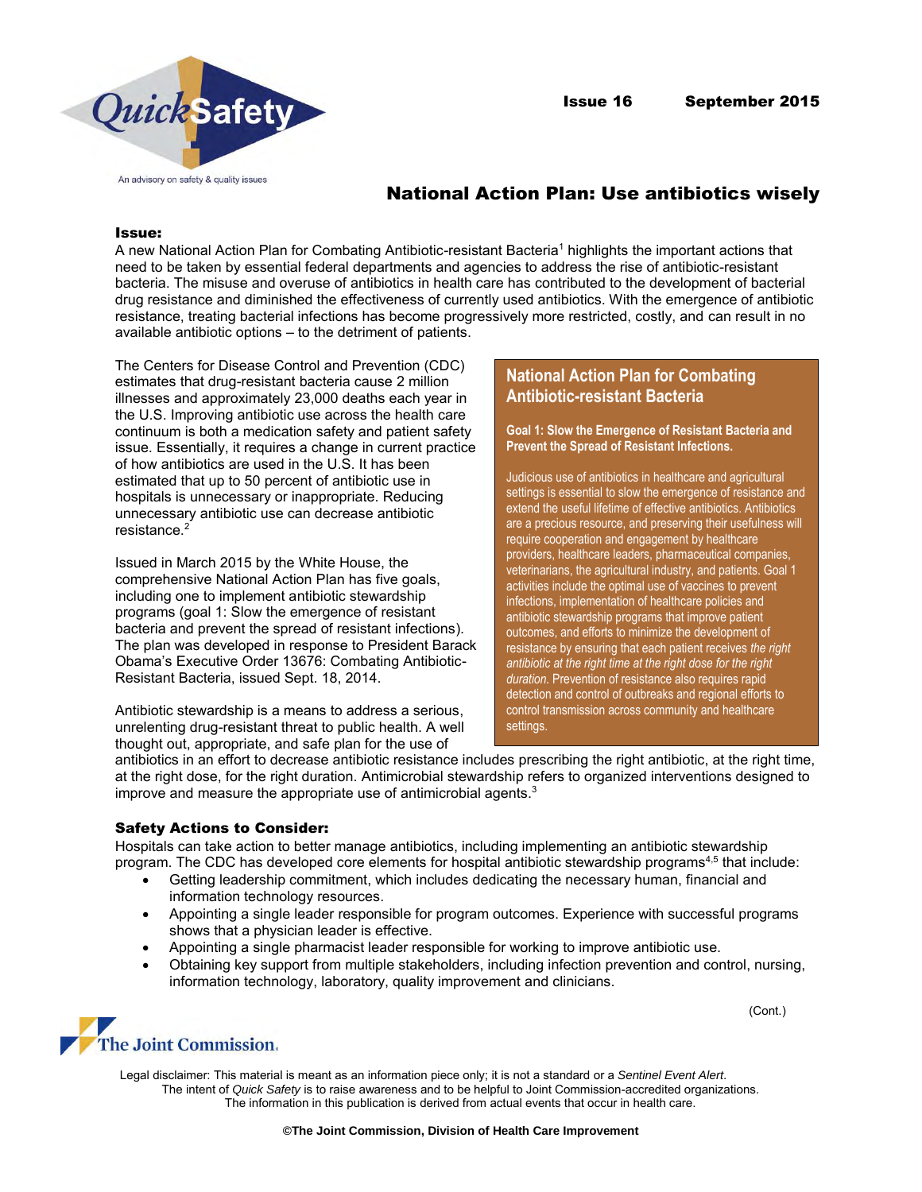



# National Action Plan: Use antibiotics wisely

#### Issue:

A new National Action Plan for Combating Antibiotic-resistant Bacteria<sup>1</sup> highlights the important actions that need to be taken by essential federal departments and agencies to address the rise of antibiotic-resistant bacteria. The misuse and overuse of antibiotics in health care has contributed to the development of bacterial drug resistance and diminished the effectiveness of currently used antibiotics. With the emergence of antibiotic resistance, treating bacterial infections has become progressively more restricted, costly, and can result in no available antibiotic options – to the detriment of patients.

The Centers for Disease Control and Prevention (CDC) estimates that drug-resistant bacteria cause 2 million illnesses and approximately 23,000 deaths each year in the U.S. Improving antibiotic use across the health care continuum is both a medication safety and patient safety issue. Essentially, it requires a change in current practice of how antibiotics are used in the U.S. It has been estimated that up to 50 percent of antibiotic use in hospitals is unnecessary or inappropriate. Reducing unnecessary antibiotic use can decrease antibiotic resistance.<sup>2</sup>

Issued in March 2015 by the White House, the comprehensive National Action Plan has five goals, including one to implement antibiotic stewardship programs (goal 1: Slow the emergence of resistant bacteria and prevent the spread of resistant infections). The plan was developed in response to President Barack Obama's Executive Order 13676: Combating Antibiotic-Resistant Bacteria, issued Sept. 18, 2014.

Antibiotic stewardship is a means to address a serious, unrelenting drug-resistant threat to public health. A well thought out, appropriate, and safe plan for the use of

# **National Action Plan for Combating Antibiotic-resistant Bacteria**

**Goal 1: Slow the Emergence of Resistant Bacteria and Prevent the Spread of Resistant Infections.** 

Judicious use of antibiotics in healthcare and agricultural settings is essential to slow the emergence of resistance and extend the useful lifetime of effective antibiotics. Antibiotics are a precious resource, and preserving their usefulness will require cooperation and engagement by healthcare providers, healthcare leaders, pharmaceutical companies, veterinarians, the agricultural industry, and patients. Goal 1 activities include the optimal use of vaccines to prevent infections, implementation of healthcare policies and antibiotic stewardship programs that improve patient outcomes, and efforts to minimize the development of resistance by ensuring that each patient receives *the right antibiotic at the right time at the right dose for the right duration.* Prevention of resistance also requires rapid detection and control of outbreaks and regional efforts to control transmission across community and healthcare settings.

antibiotics in an effort to decrease antibiotic resistance includes prescribing the right antibiotic, at the right time, at the right dose, for the right duration. Antimicrobial stewardship refers to organized interventions designed to improve and measure the appropriate use of antimicrobial agents. 3

## Safety Actions to Consider:

Hospitals can take action to better manage antibiotics, including implementing an antibiotic stewardship program. The CDC has developed core elements for hospital antibiotic stewardship programs<sup>4,5</sup> that include:

- Getting leadership commitment, which includes dedicating the necessary human, financial and information technology resources.
- Appointing a single leader responsible for program outcomes. Experience with successful programs shows that a physician leader is effective.
- Appointing a single pharmacist leader responsible for working to improve antibiotic use.
- Obtaining key support from multiple stakeholders, including infection prevention and control, nursing, information technology, laboratory, quality improvement and clinicians.

(Cont.)



Legal disclaimer: This material is meant as an information piece only; it is not a standard or a *Sentinel Event Alert*. The intent of *Quick Safety* is to raise awareness and to be helpful to Joint Commission-accredited organizations. The information in this publication is derived from actual events that occur in health care.